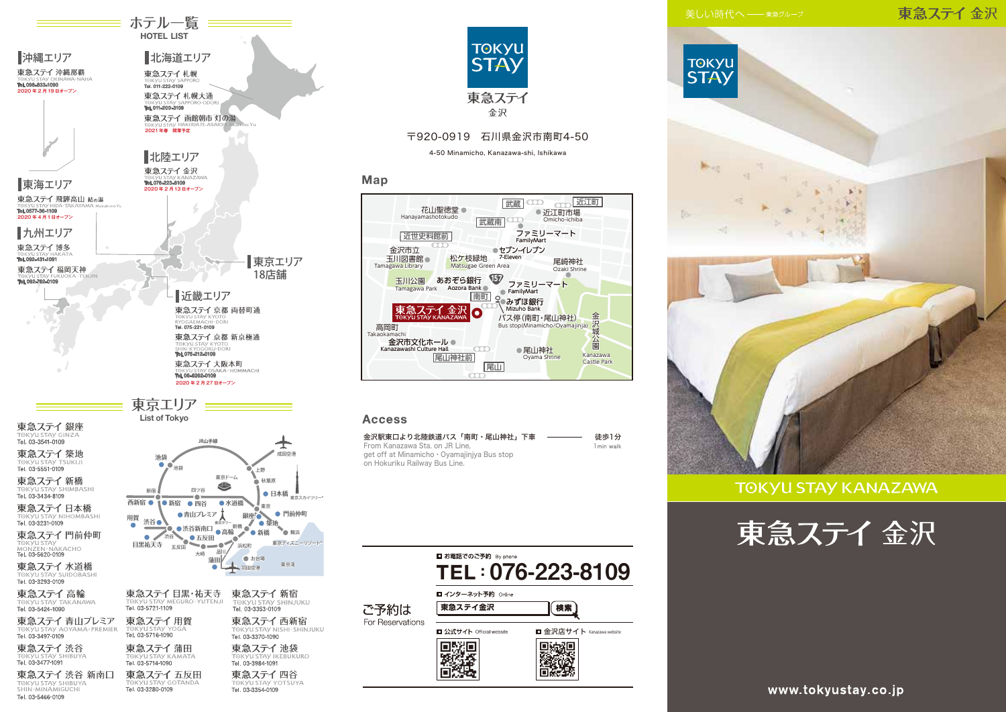東急ステイ金沢



## **TOKYU STAY KANAZAWA**





東急ステイ五反田

Tel. 03-3280-0109

東急ステイ 渋谷 新南口

TOKYU STAY SHIBUYA

Tel. 03-5466-0109

**≡ ホテル一覧 ==== HOTEL LIST** 

> 東急ステイ四谷 TOKYU STAY YOTSUYA



#### 〒920-0919 石川県金沢市南町4-50

4-50 Minamicho, Kanazawa-shi, Ishikawa

#### Map

| 花山聖徳堂<br>Hanayamashotokudo<br>武蔵南                                 | 近江町<br>武蔵<br>近江町市場<br>Omicho-ichiba              |  |
|-------------------------------------------------------------------|--------------------------------------------------|--|
| 近世史料館前                                                            | ファミリーマート<br>FamilyMart                           |  |
| 金沢市立<br>松ケ枝緑地<br>玉川図書館<br>Tamagawa Library<br>Matsugae Green Area | セブン-イレブン<br>7-Eleven<br>尾崎神社<br>Ozaki Shrine     |  |
| あおぞら銀行<br>玉川公園<br>Aozora Bank<br>Tamagawa Park<br>南町              | 157<br>ファミリーマート<br>FamilyMart                    |  |
| 東急ステイ 金沢<br><sup>TOKYU STAY KANAZAWA</sup><br>О                   | みずほ銀行<br>Mizuho Bank<br>バス停(南町・尾山神社)             |  |
| 高岡町<br>Takaokamachi<br>金沢市文化ホール●                                  | 金沢城公園<br>Bus stop(Minamicho/Oyamajinja)          |  |
| Kanazawashi Culture Hall<br> 袖社前<br>尾                             | ●尾山神社<br>Kanazawa<br>Oyama Shrine<br>Castle Park |  |
|                                                                   |                                                  |  |

#### **Access**

| 金沢駅東口より北陸鉄道バス「南町・尾山神社」下車<br>and the control of the control of | 徒歩1分       |
|---------------------------------------------------------------|------------|
| From Kanazawa Sta, on JR Line.                                | 1 min walk |
| get off at Minamicho · Oyamajinjya Bus stop                   |            |
| on Hokuriku Railway Bus Line.                                 |            |

|                          | ■ お電話でのご予約 By phone             | TEL: 076-223-8109         |
|--------------------------|---------------------------------|---------------------------|
| ご予約は<br>For Reservations | ■ インターネット予約 Online<br>東急ステイ金沢   | 検索                        |
|                          | <b>□ 公式サイト Official website</b> | ■ 金沢店サイト Kanazawa website |
|                          |                                 |                           |